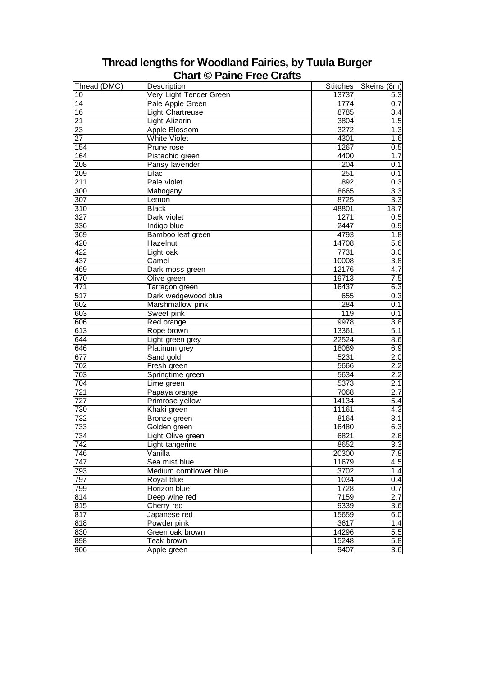|                  | <b>⊖…ure → rumo riv</b> |          |                  |
|------------------|-------------------------|----------|------------------|
| Thread (DMC)     | Description             | Stitches | Skeins (8m)      |
| 10               | Very Light Tender Green | 13737    | 5.3              |
| 14               | Pale Apple Green        | 1774     | 0.7              |
| $\overline{16}$  | Light Chartreuse        | 8785     | 3.4              |
| $\overline{21}$  | <b>Light Alizarin</b>   | 3804     | 1.5              |
| $\overline{23}$  | <b>Apple Blossom</b>    | 3272     | 1.3              |
| $\overline{27}$  | <b>White Violet</b>     | 4301     | 1.6              |
| 154              | Prune rose              | 1267     | 0.5              |
| 164              | Pistachio green         | 4400     | 1.7              |
| 208              | Pansy lavender          | 204      | 0.1              |
| 209              | Lilac                   | 251      | 0.1              |
| 211              | Pale violet             | 892      | $0.\overline{3}$ |
| 300              | Mahogany                | 8665     | 3.3              |
| $\overline{307}$ | Lemon                   | 8725     | 3.3              |
| 310              | <b>Black</b>            | 48801    | 18.7             |
| 327              | Dark violet             | 1271     | 0.5              |
| 336              | Indigo blue             | 2447     | 0.9              |
| 369              | Bamboo leaf green       | 4793     | 1.8              |
| 420              | <b>Hazelnut</b>         | 14708    | 5.6              |
| 422              | Light oak               | 7731     | 3.0              |
| 437              | Camel                   | 10008    | $\overline{3.8}$ |
| 469              | Dark moss green         | 12176    | 4.7              |
| 470              | Olive green             | 19713    | 7.5              |
| 471              | Tarragon green          | 16437    | 6.3              |
| $\overline{517}$ | Dark wedgewood blue     | 655      | 0.3              |
| 602              | Marshmallow pink        | 284      | 0.1              |
| 603              | Sweet pink              | 119      | 0.1              |
| 606              | Red orange              | 9978     | 3.8              |
| 613              | Rope brown              | 13361    | 5.1              |
| 644              | Light green grey        | 22524    | 8.6              |
| 646              | Platinum grey           | 18089    | 6.9              |
| 677              | Sand gold               | 5231     | 2.0              |
| 702              | Fresh green             | 5666     | 2.2              |
| 703              | Springtime green        | 5634     | 2.2              |
| 704              | Lime green              | 5373     | 2.1              |
| 721              | Papaya orange           | 7068     | 2.7              |
| $\overline{727}$ | Primrose yellow         | 14134    | 5.4              |
| 730              | Khaki green             | 11161    | 4.3              |
| 732              | Bronze green            | 8164     | 3.1              |
| 733              | Golden green            | 16480    | 6.3              |
| 734              | Light Olive green       | 6821     | 2.6              |
| 742              | Light tangerine         | 8652     | 3.3              |
| 746              | Vanilla                 | 20300    | 7.8              |
| 747              | Sea mist blue           | 11679    | 4.5              |
| 793              | Medium cornflower blue  | 3702     | 1.4              |
| 797              | Royal blue              | 1034     | 0.4              |
| 799              | Horizon blue            | 1728     | 0.7              |
| 814              | Deep wine red           | 7159     | 2.7              |
| 815              | Cherry red              | 9339     | 3.6              |
| 817              | Japanese red            | 15659    | 6.0              |
| 818              | Powder pink             | 3617     | 1.4              |
| 830              | Green oak brown         | 14296    | 5.5              |
| 898              | Teak brown              | 15248    | 5.8              |
| 906              | Apple green             | 9407     | 3.6              |

## **Thread lengths for Woodland Fairies, by Tuula Burger Chart © Paine Free Crafts**